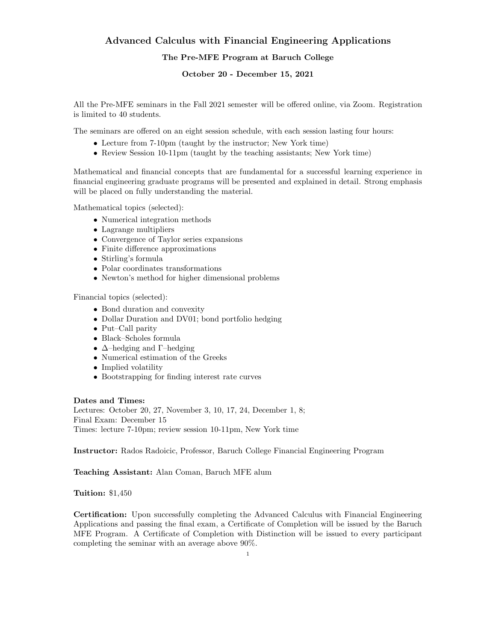# Advanced Calculus with Financial Engineering Applications The Pre-MFE Program at Baruch College

October 20 - December 15, 2021

All the Pre-MFE seminars in the Fall 2021 semester will be offered online, via Zoom. Registration is limited to 40 students.

The seminars are offered on an eight session schedule, with each session lasting four hours:

- Lecture from 7-10pm (taught by the instructor; New York time)
- Review Session 10-11pm (taught by the teaching assistants; New York time)

Mathematical and financial concepts that are fundamental for a successful learning experience in financial engineering graduate programs will be presented and explained in detail. Strong emphasis will be placed on fully understanding the material.

Mathematical topics (selected):

- Numerical integration methods
- Lagrange multipliers
- Convergence of Taylor series expansions
- Finite difference approximations
- Stirling's formula
- Polar coordinates transformations
- Newton's method for higher dimensional problems

Financial topics (selected):

- Bond duration and convexity
- Dollar Duration and DV01; bond portfolio hedging
- Put–Call parity
- Black–Scholes formula
- $\Delta$ –hedging and Γ–hedging
- Numerical estimation of the Greeks
- Implied volatility
- Bootstrapping for finding interest rate curves

#### Dates and Times:

Lectures: October 20, 27, November 3, 10, 17, 24, December 1, 8; Final Exam: December 15 Times: lecture 7-10pm; review session 10-11pm, New York time

Instructor: Rados Radoicic, Professor, Baruch College Financial Engineering Program

Teaching Assistant: Alan Coman, Baruch MFE alum

## Tuition: \$1,450

Certification: Upon successfully completing the Advanced Calculus with Financial Engineering Applications and passing the final exam, a Certificate of Completion will be issued by the Baruch MFE Program. A Certificate of Completion with Distinction will be issued to every participant completing the seminar with an average above 90%.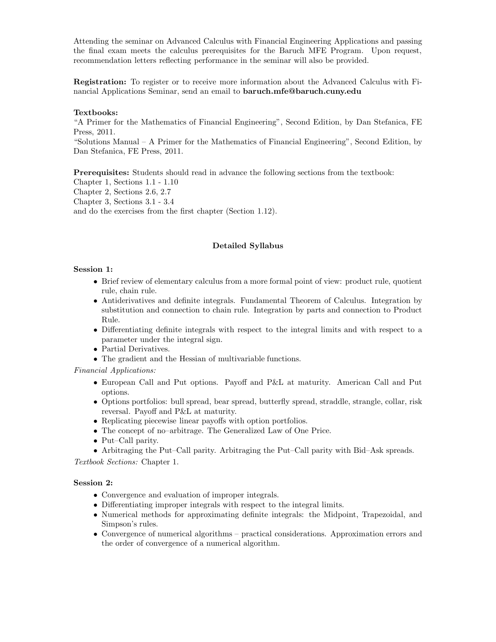Attending the seminar on Advanced Calculus with Financial Engineering Applications and passing the final exam meets the calculus prerequisites for the Baruch MFE Program. Upon request, recommendation letters reflecting performance in the seminar will also be provided.

Registration: To register or to receive more information about the Advanced Calculus with Financial Applications Seminar, send an email to baruch.mfe@baruch.cuny.edu

## Textbooks:

"A Primer for the Mathematics of Financial Engineering", Second Edition, by Dan Stefanica, FE Press, 2011.

"Solutions Manual – A Primer for the Mathematics of Financial Engineering", Second Edition, by Dan Stefanica, FE Press, 2011.

Prerequisites: Students should read in advance the following sections from the textbook: Chapter 1, Sections 1.1 - 1.10 Chapter 2, Sections 2.6, 2.7 Chapter 3, Sections 3.1 - 3.4 and do the exercises from the first chapter (Section 1.12).

## Detailed Syllabus

## Session 1:

- Brief review of elementary calculus from a more formal point of view: product rule, quotient rule, chain rule.
- Antiderivatives and definite integrals. Fundamental Theorem of Calculus. Integration by substitution and connection to chain rule. Integration by parts and connection to Product Rule.
- Differentiating definite integrals with respect to the integral limits and with respect to a parameter under the integral sign.
- Partial Derivatives.
- The gradient and the Hessian of multivariable functions.

## Financial Applications:

- European Call and Put options. Payoff and P&L at maturity. American Call and Put options.
- Options portfolios: bull spread, bear spread, butterfly spread, straddle, strangle, collar, risk reversal. Payoff and P&L at maturity.
- Replicating piecewise linear payoffs with option portfolios.
- The concept of no–arbitrage. The Generalized Law of One Price.
- Put–Call parity.
- Arbitraging the Put–Call parity. Arbitraging the Put–Call parity with Bid–Ask spreads.

Textbook Sections: Chapter 1.

## Session 2:

- Convergence and evaluation of improper integrals.
- Differentiating improper integrals with respect to the integral limits.
- Numerical methods for approximating definite integrals: the Midpoint, Trapezoidal, and Simpson's rules.
- Convergence of numerical algorithms practical considerations. Approximation errors and the order of convergence of a numerical algorithm.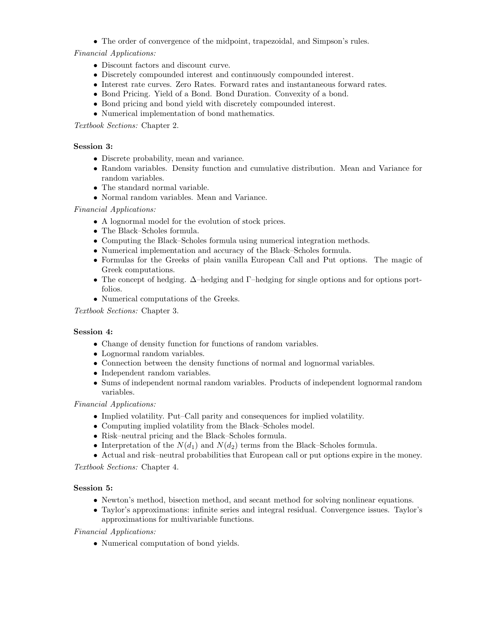• The order of convergence of the midpoint, trapezoidal, and Simpson's rules.

Financial Applications:

- Discount factors and discount curve.
- Discretely compounded interest and continuously compounded interest.
- Interest rate curves. Zero Rates. Forward rates and instantaneous forward rates.
- Bond Pricing. Yield of a Bond. Bond Duration. Convexity of a bond.
- Bond pricing and bond yield with discretely compounded interest.
- Numerical implementation of bond mathematics.

Textbook Sections: Chapter 2.

# Session 3:

- Discrete probability, mean and variance.
- Random variables. Density function and cumulative distribution. Mean and Variance for random variables.
- The standard normal variable.
- Normal random variables. Mean and Variance.

# Financial Applications:

- A lognormal model for the evolution of stock prices.
- The Black–Scholes formula.
- Computing the Black–Scholes formula using numerical integration methods.
- Numerical implementation and accuracy of the Black–Scholes formula.
- Formulas for the Greeks of plain vanilla European Call and Put options. The magic of Greek computations.
- The concept of hedging. ∆–hedging and Γ–hedging for single options and for options portfolios.
- Numerical computations of the Greeks.

Textbook Sections: Chapter 3.

# Session 4:

- Change of density function for functions of random variables.
- Lognormal random variables.
- Connection between the density functions of normal and lognormal variables.
- Independent random variables.
- Sums of independent normal random variables. Products of independent lognormal random variables.

Financial Applications:

- Implied volatility. Put–Call parity and consequences for implied volatility.
- Computing implied volatility from the Black–Scholes model.
- Risk–neutral pricing and the Black–Scholes formula.
- Interpretation of the  $N(d_1)$  and  $N(d_2)$  terms from the Black–Scholes formula.
- Actual and risk–neutral probabilities that European call or put options expire in the money.

Textbook Sections: Chapter 4.

# Session 5:

- Newton's method, bisection method, and secant method for solving nonlinear equations.
- Taylor's approximations: infinite series and integral residual. Convergence issues. Taylor's approximations for multivariable functions.

Financial Applications:

• Numerical computation of bond yields.